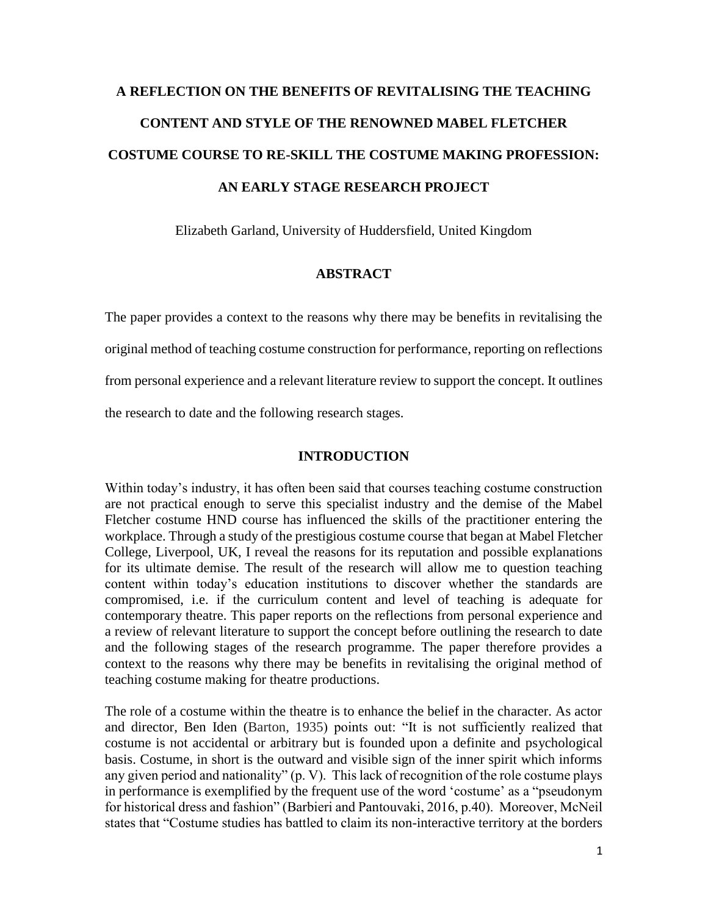# **A REFLECTION ON THE BENEFITS OF REVITALISING THE TEACHING CONTENT AND STYLE OF THE RENOWNED MABEL FLETCHER COSTUME COURSE TO RE-SKILL THE COSTUME MAKING PROFESSION: AN EARLY STAGE RESEARCH PROJECT**

Elizabeth Garland, University of Huddersfield, United Kingdom

# **ABSTRACT**

The paper provides a context to the reasons why there may be benefits in revitalising the original method of teaching costume construction for performance, reporting on reflections from personal experience and a relevant literature review to support the concept. It outlines the research to date and the following research stages.

# **INTRODUCTION**

Within today's industry, it has often been said that courses teaching costume construction are not practical enough to serve this specialist industry and the demise of the Mabel Fletcher costume HND course has influenced the skills of the practitioner entering the workplace. Through a study of the prestigious costume course that began at Mabel Fletcher College, Liverpool, UK, I reveal the reasons for its reputation and possible explanations for its ultimate demise. The result of the research will allow me to question teaching content within today's education institutions to discover whether the standards are compromised, i.e. if the curriculum content and level of teaching is adequate for contemporary theatre. This paper reports on the reflections from personal experience and a review of relevant literature to support the concept before outlining the research to date and the following stages of the research programme. The paper therefore provides a context to the reasons why there may be benefits in revitalising the original method of teaching costume making for theatre productions.

The role of a costume within the theatre is to enhance the belief in the character. As actor and director, Ben Iden (Barton, 1935) points out: "It is not sufficiently realized that costume is not accidental or arbitrary but is founded upon a definite and psychological basis. Costume, in short is the outward and visible sign of the inner spirit which informs any given period and nationality" (p. V). This lack of recognition of the role costume plays in performance is exemplified by the frequent use of the word 'costume' as a "pseudonym for historical dress and fashion" (Barbieri and Pantouvaki, 2016, p.40). Moreover, McNeil states that "Costume studies has battled to claim its non-interactive territory at the borders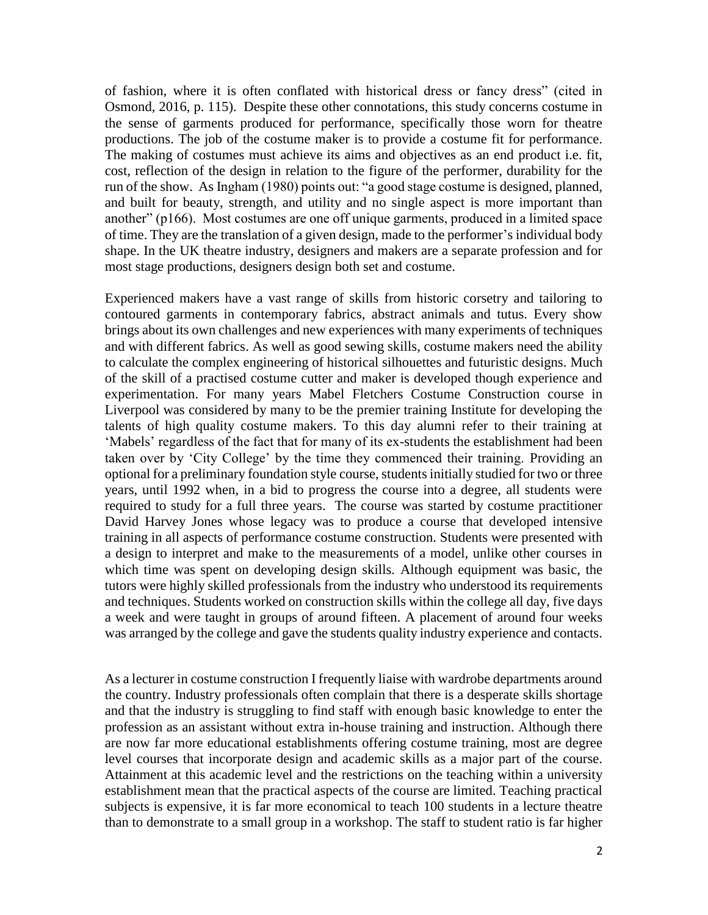of fashion, where it is often conflated with historical dress or fancy dress" (cited in Osmond, 2016, p. 115). Despite these other connotations, this study concerns costume in the sense of garments produced for performance, specifically those worn for theatre productions. The job of the costume maker is to provide a costume fit for performance. The making of costumes must achieve its aims and objectives as an end product i.e. fit, cost, reflection of the design in relation to the figure of the performer, durability for the run of the show. As Ingham (1980) points out: "a good stage costume is designed, planned, and built for beauty, strength, and utility and no single aspect is more important than another" (p166). Most costumes are one off unique garments, produced in a limited space of time. They are the translation of a given design, made to the performer's individual body shape. In the UK theatre industry, designers and makers are a separate profession and for most stage productions, designers design both set and costume.

Experienced makers have a vast range of skills from historic corsetry and tailoring to contoured garments in contemporary fabrics, abstract animals and tutus. Every show brings about its own challenges and new experiences with many experiments of techniques and with different fabrics. As well as good sewing skills, costume makers need the ability to calculate the complex engineering of historical silhouettes and futuristic designs. Much of the skill of a practised costume cutter and maker is developed though experience and experimentation. For many years Mabel Fletchers Costume Construction course in Liverpool was considered by many to be the premier training Institute for developing the talents of high quality costume makers. To this day alumni refer to their training at 'Mabels' regardless of the fact that for many of its ex-students the establishment had been taken over by 'City College' by the time they commenced their training. Providing an optional for a preliminary foundation style course, students initially studied for two or three years, until 1992 when, in a bid to progress the course into a degree, all students were required to study for a full three years. The course was started by costume practitioner David Harvey Jones whose legacy was to produce a course that developed intensive training in all aspects of performance costume construction. Students were presented with a design to interpret and make to the measurements of a model, unlike other courses in which time was spent on developing design skills. Although equipment was basic, the tutors were highly skilled professionals from the industry who understood its requirements and techniques. Students worked on construction skills within the college all day, five days a week and were taught in groups of around fifteen. A placement of around four weeks was arranged by the college and gave the students quality industry experience and contacts.

As a lecturer in costume construction I frequently liaise with wardrobe departments around the country. Industry professionals often complain that there is a desperate skills shortage and that the industry is struggling to find staff with enough basic knowledge to enter the profession as an assistant without extra in-house training and instruction. Although there are now far more educational establishments offering costume training, most are degree level courses that incorporate design and academic skills as a major part of the course. Attainment at this academic level and the restrictions on the teaching within a university establishment mean that the practical aspects of the course are limited. Teaching practical subjects is expensive, it is far more economical to teach 100 students in a lecture theatre than to demonstrate to a small group in a workshop. The staff to student ratio is far higher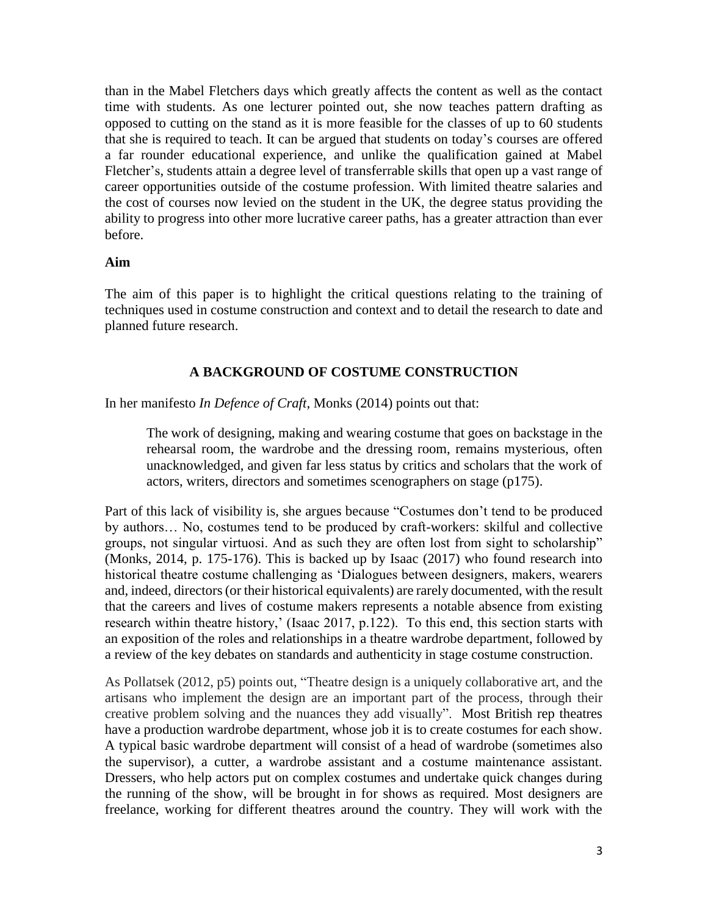than in the Mabel Fletchers days which greatly affects the content as well as the contact time with students. As one lecturer pointed out, she now teaches pattern drafting as opposed to cutting on the stand as it is more feasible for the classes of up to 60 students that she is required to teach. It can be argued that students on today's courses are offered a far rounder educational experience, and unlike the qualification gained at Mabel Fletcher's, students attain a degree level of transferrable skills that open up a vast range of career opportunities outside of the costume profession. With limited theatre salaries and the cost of courses now levied on the student in the UK, the degree status providing the ability to progress into other more lucrative career paths, has a greater attraction than ever before.

# **Aim**

The aim of this paper is to highlight the critical questions relating to the training of techniques used in costume construction and context and to detail the research to date and planned future research.

# **A BACKGROUND OF COSTUME CONSTRUCTION**

In her manifesto *In Defence of Craft*, Monks (2014) points out that:

The work of designing, making and wearing costume that goes on backstage in the rehearsal room, the wardrobe and the dressing room, remains mysterious, often unacknowledged, and given far less status by critics and scholars that the work of actors, writers, directors and sometimes scenographers on stage (p175).

Part of this lack of visibility is, she argues because "Costumes don't tend to be produced by authors… No, costumes tend to be produced by craft-workers: skilful and collective groups, not singular virtuosi. And as such they are often lost from sight to scholarship" (Monks, 2014, p. 175-176). This is backed up by Isaac (2017) who found research into historical theatre costume challenging as 'Dialogues between designers, makers, wearers and, indeed, directors (or their historical equivalents) are rarely documented, with the result that the careers and lives of costume makers represents a notable absence from existing research within theatre history,' (Isaac 2017, p.122). To this end, this section starts with an exposition of the roles and relationships in a theatre wardrobe department, followed by a review of the key debates on standards and authenticity in stage costume construction.

As Pollatsek (2012, p5) points out, "Theatre design is a uniquely collaborative art, and the artisans who implement the design are an important part of the process, through their creative problem solving and the nuances they add visually". Most British rep theatres have a production wardrobe department, whose job it is to create costumes for each show. A typical basic wardrobe department will consist of a head of wardrobe (sometimes also the supervisor), a cutter, a wardrobe assistant and a costume maintenance assistant. Dressers, who help actors put on complex costumes and undertake quick changes during the running of the show, will be brought in for shows as required. Most designers are freelance, working for different theatres around the country. They will work with the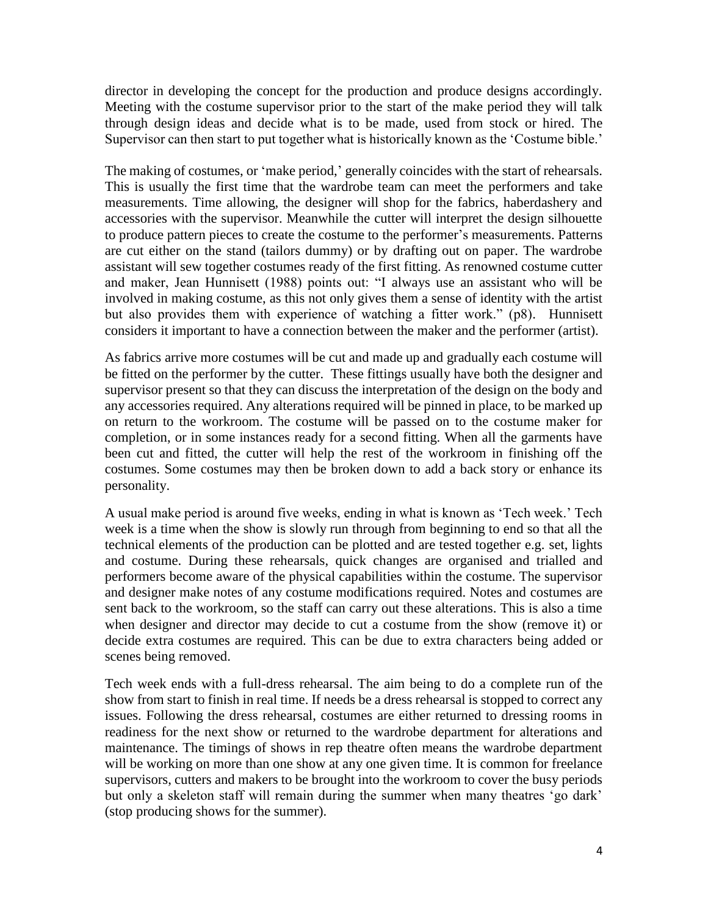director in developing the concept for the production and produce designs accordingly. Meeting with the costume supervisor prior to the start of the make period they will talk through design ideas and decide what is to be made, used from stock or hired. The Supervisor can then start to put together what is historically known as the 'Costume bible.'

The making of costumes, or 'make period,' generally coincides with the start of rehearsals. This is usually the first time that the wardrobe team can meet the performers and take measurements. Time allowing, the designer will shop for the fabrics, haberdashery and accessories with the supervisor. Meanwhile the cutter will interpret the design silhouette to produce pattern pieces to create the costume to the performer's measurements. Patterns are cut either on the stand (tailors dummy) or by drafting out on paper. The wardrobe assistant will sew together costumes ready of the first fitting. As renowned costume cutter and maker, Jean Hunnisett (1988) points out: "I always use an assistant who will be involved in making costume, as this not only gives them a sense of identity with the artist but also provides them with experience of watching a fitter work." (p8). Hunnisett considers it important to have a connection between the maker and the performer (artist).

As fabrics arrive more costumes will be cut and made up and gradually each costume will be fitted on the performer by the cutter. These fittings usually have both the designer and supervisor present so that they can discuss the interpretation of the design on the body and any accessories required. Any alterations required will be pinned in place, to be marked up on return to the workroom. The costume will be passed on to the costume maker for completion, or in some instances ready for a second fitting. When all the garments have been cut and fitted, the cutter will help the rest of the workroom in finishing off the costumes. Some costumes may then be broken down to add a back story or enhance its personality.

A usual make period is around five weeks, ending in what is known as 'Tech week.' Tech week is a time when the show is slowly run through from beginning to end so that all the technical elements of the production can be plotted and are tested together e.g. set, lights and costume. During these rehearsals, quick changes are organised and trialled and performers become aware of the physical capabilities within the costume. The supervisor and designer make notes of any costume modifications required. Notes and costumes are sent back to the workroom, so the staff can carry out these alterations. This is also a time when designer and director may decide to cut a costume from the show (remove it) or decide extra costumes are required. This can be due to extra characters being added or scenes being removed.

Tech week ends with a full-dress rehearsal. The aim being to do a complete run of the show from start to finish in real time. If needs be a dress rehearsal is stopped to correct any issues. Following the dress rehearsal, costumes are either returned to dressing rooms in readiness for the next show or returned to the wardrobe department for alterations and maintenance. The timings of shows in rep theatre often means the wardrobe department will be working on more than one show at any one given time. It is common for freelance supervisors, cutters and makers to be brought into the workroom to cover the busy periods but only a skeleton staff will remain during the summer when many theatres 'go dark' (stop producing shows for the summer).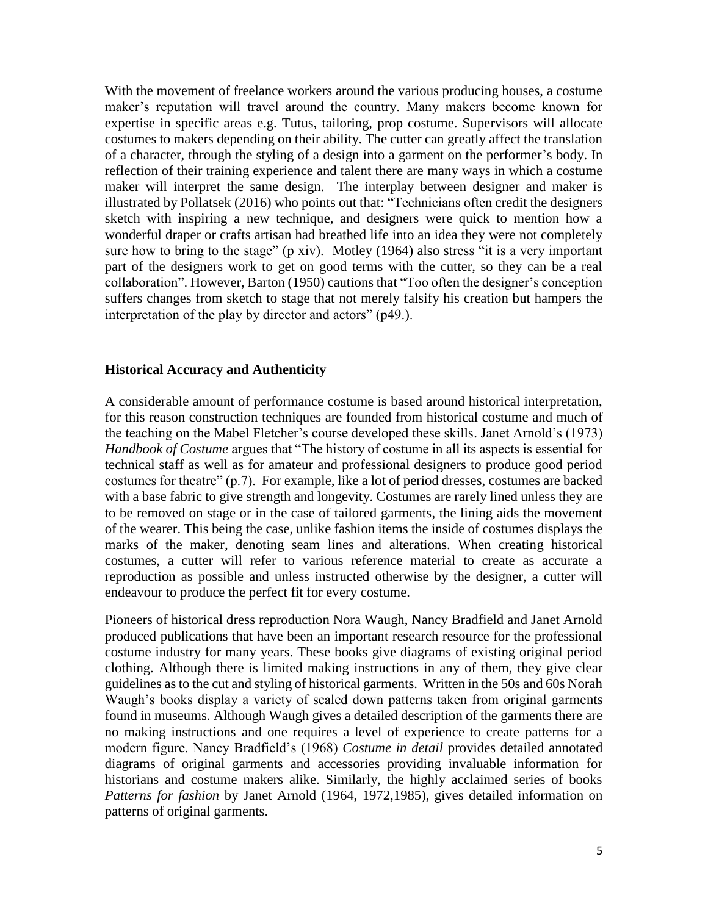With the movement of freelance workers around the various producing houses, a costume maker's reputation will travel around the country. Many makers become known for expertise in specific areas e.g. Tutus, tailoring, prop costume. Supervisors will allocate costumes to makers depending on their ability. The cutter can greatly affect the translation of a character, through the styling of a design into a garment on the performer's body. In reflection of their training experience and talent there are many ways in which a costume maker will interpret the same design. The interplay between designer and maker is illustrated by Pollatsek (2016) who points out that: "Technicians often credit the designers sketch with inspiring a new technique, and designers were quick to mention how a wonderful draper or crafts artisan had breathed life into an idea they were not completely sure how to bring to the stage" (p xiv). Motley (1964) also stress "it is a very important part of the designers work to get on good terms with the cutter, so they can be a real collaboration". However, Barton (1950) cautions that "Too often the designer's conception suffers changes from sketch to stage that not merely falsify his creation but hampers the interpretation of the play by director and actors" (p49.).

#### **Historical Accuracy and Authenticity**

A considerable amount of performance costume is based around historical interpretation, for this reason construction techniques are founded from historical costume and much of the teaching on the Mabel Fletcher's course developed these skills. Janet Arnold's (1973) *Handbook of Costume* argues that "The history of costume in all its aspects is essential for technical staff as well as for amateur and professional designers to produce good period costumes for theatre" (p.7). For example, like a lot of period dresses, costumes are backed with a base fabric to give strength and longevity. Costumes are rarely lined unless they are to be removed on stage or in the case of tailored garments, the lining aids the movement of the wearer. This being the case, unlike fashion items the inside of costumes displays the marks of the maker, denoting seam lines and alterations. When creating historical costumes, a cutter will refer to various reference material to create as accurate a reproduction as possible and unless instructed otherwise by the designer, a cutter will endeavour to produce the perfect fit for every costume.

Pioneers of historical dress reproduction Nora Waugh, Nancy Bradfield and Janet Arnold produced publications that have been an important research resource for the professional costume industry for many years. These books give diagrams of existing original period clothing. Although there is limited making instructions in any of them, they give clear guidelines as to the cut and styling of historical garments. Written in the 50s and 60s Norah Waugh's books display a variety of scaled down patterns taken from original garments found in museums. Although Waugh gives a detailed description of the garments there are no making instructions and one requires a level of experience to create patterns for a modern figure. Nancy Bradfield's (1968) *Costume in detail* provides detailed annotated diagrams of original garments and accessories providing invaluable information for historians and costume makers alike. Similarly, the highly acclaimed series of books *Patterns for fashion* by Janet Arnold (1964, 1972,1985), gives detailed information on patterns of original garments.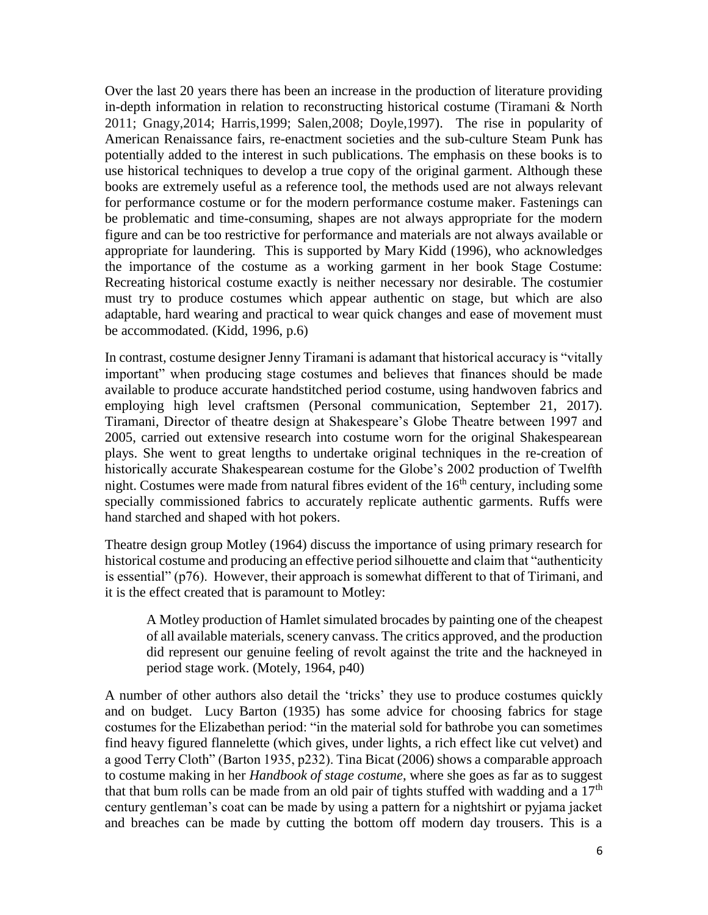Over the last 20 years there has been an increase in the production of literature providing in-depth information in relation to reconstructing historical costume (Tiramani & North 2011; Gnagy,2014; Harris,1999; Salen,2008; Doyle,1997). The rise in popularity of American Renaissance fairs, re-enactment societies and the sub-culture Steam Punk has potentially added to the interest in such publications. The emphasis on these books is to use historical techniques to develop a true copy of the original garment. Although these books are extremely useful as a reference tool, the methods used are not always relevant for performance costume or for the modern performance costume maker. Fastenings can be problematic and time-consuming, shapes are not always appropriate for the modern figure and can be too restrictive for performance and materials are not always available or appropriate for laundering. This is supported by Mary Kidd (1996), who acknowledges the importance of the costume as a working garment in her book Stage Costume: Recreating historical costume exactly is neither necessary nor desirable. The costumier must try to produce costumes which appear authentic on stage, but which are also adaptable, hard wearing and practical to wear quick changes and ease of movement must be accommodated. (Kidd, 1996, p.6)

In contrast, costume designer Jenny Tiramani is adamant that historical accuracy is "vitally important" when producing stage costumes and believes that finances should be made available to produce accurate handstitched period costume, using handwoven fabrics and employing high level craftsmen (Personal communication, September 21, 2017). Tiramani, Director of theatre design at Shakespeare's Globe Theatre between 1997 and 2005, carried out extensive research into costume worn for the original Shakespearean plays. She went to great lengths to undertake original techniques in the re-creation of historically accurate Shakespearean costume for the Globe's 2002 production of Twelfth night. Costumes were made from natural fibres evident of the  $16<sup>th</sup>$  century, including some specially commissioned fabrics to accurately replicate authentic garments. Ruffs were hand starched and shaped with hot pokers.

Theatre design group Motley (1964) discuss the importance of using primary research for historical costume and producing an effective period silhouette and claim that "authenticity is essential" (p76). However, their approach is somewhat different to that of Tirimani, and it is the effect created that is paramount to Motley:

A Motley production of Hamlet simulated brocades by painting one of the cheapest of all available materials, scenery canvass. The critics approved, and the production did represent our genuine feeling of revolt against the trite and the hackneyed in period stage work. (Motely, 1964, p40)

A number of other authors also detail the 'tricks' they use to produce costumes quickly and on budget. Lucy Barton (1935) has some advice for choosing fabrics for stage costumes for the Elizabethan period: "in the material sold for bathrobe you can sometimes find heavy figured flannelette (which gives, under lights, a rich effect like cut velvet) and a good Terry Cloth" (Barton 1935, p232). Tina Bicat (2006) shows a comparable approach to costume making in her *Handbook of stage costume*, where she goes as far as to suggest that that bum rolls can be made from an old pair of tights stuffed with wadding and a  $17<sup>th</sup>$ century gentleman's coat can be made by using a pattern for a nightshirt or pyjama jacket and breaches can be made by cutting the bottom off modern day trousers. This is a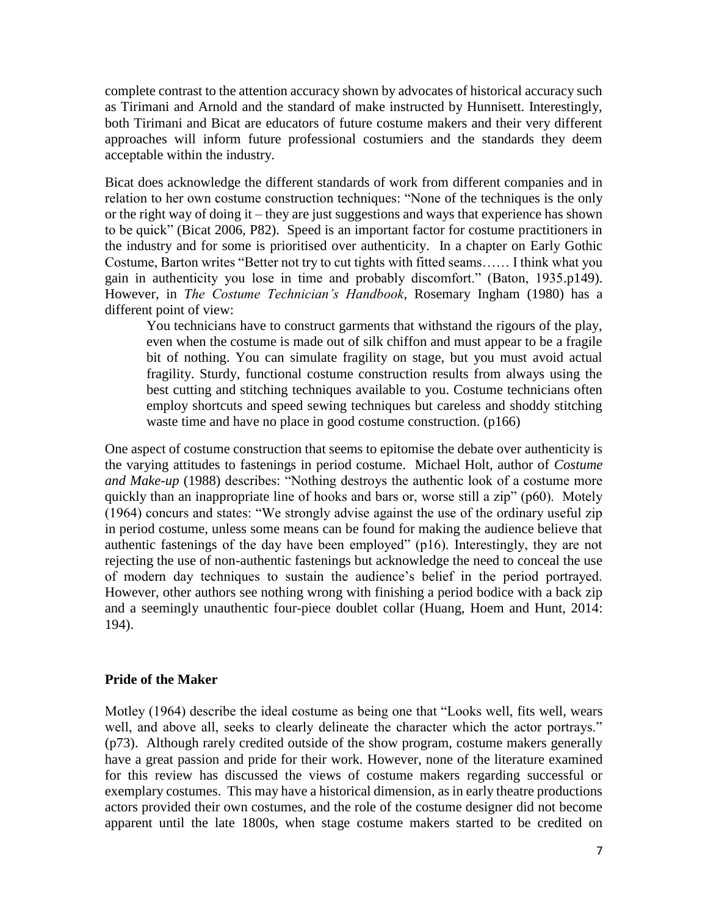complete contrast to the attention accuracy shown by advocates of historical accuracy such as Tirimani and Arnold and the standard of make instructed by Hunnisett. Interestingly, both Tirimani and Bicat are educators of future costume makers and their very different approaches will inform future professional costumiers and the standards they deem acceptable within the industry.

Bicat does acknowledge the different standards of work from different companies and in relation to her own costume construction techniques: "None of the techniques is the only or the right way of doing it – they are just suggestions and ways that experience has shown to be quick" (Bicat 2006, P82). Speed is an important factor for costume practitioners in the industry and for some is prioritised over authenticity. In a chapter on Early Gothic Costume, Barton writes "Better not try to cut tights with fitted seams…… I think what you gain in authenticity you lose in time and probably discomfort." (Baton, 1935.p149). However, in *The Costume Technician's Handbook*, Rosemary Ingham (1980) has a different point of view:

You technicians have to construct garments that withstand the rigours of the play, even when the costume is made out of silk chiffon and must appear to be a fragile bit of nothing. You can simulate fragility on stage, but you must avoid actual fragility. Sturdy, functional costume construction results from always using the best cutting and stitching techniques available to you. Costume technicians often employ shortcuts and speed sewing techniques but careless and shoddy stitching waste time and have no place in good costume construction. (p166)

One aspect of costume construction that seems to epitomise the debate over authenticity is the varying attitudes to fastenings in period costume. Michael Holt, author of *Costume and Make-up* (1988) describes: "Nothing destroys the authentic look of a costume more quickly than an inappropriate line of hooks and bars or, worse still a zip" (p60). Motely (1964) concurs and states: "We strongly advise against the use of the ordinary useful zip in period costume, unless some means can be found for making the audience believe that authentic fastenings of the day have been employed" (p16). Interestingly, they are not rejecting the use of non-authentic fastenings but acknowledge the need to conceal the use of modern day techniques to sustain the audience's belief in the period portrayed. However, other authors see nothing wrong with finishing a period bodice with a back zip and a seemingly unauthentic four-piece doublet collar (Huang, Hoem and Hunt, 2014: 194).

## **Pride of the Maker**

Motley (1964) describe the ideal costume as being one that "Looks well, fits well, wears well, and above all, seeks to clearly delineate the character which the actor portrays." (p73). Although rarely credited outside of the show program, costume makers generally have a great passion and pride for their work. However, none of the literature examined for this review has discussed the views of costume makers regarding successful or exemplary costumes. This may have a historical dimension, as in early theatre productions actors provided their own costumes, and the role of the costume designer did not become apparent until the late 1800s, when stage costume makers started to be credited on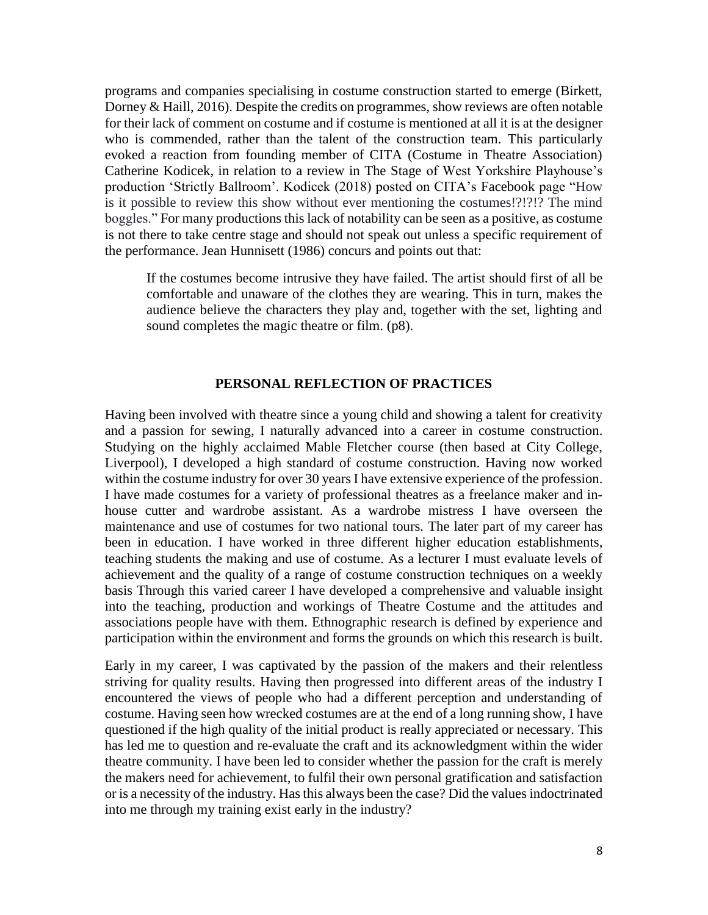programs and companies specialising in costume construction started to emerge (Birkett, Dorney & Haill, 2016). Despite the credits on programmes, show reviews are often notable for their lack of comment on costume and if costume is mentioned at all it is at the designer who is commended, rather than the talent of the construction team. This particularly evoked a reaction from founding member of CITA (Costume in Theatre Association) Catherine Kodicek, in relation to a review in The Stage of West Yorkshire Playhouse's production 'Strictly Ballroom'. Kodicek (2018) posted on CITA's Facebook page "How is it possible to review this show without ever mentioning the costumes!?!?!? The mind boggles." For many productions this lack of notability can be seen as a positive, as costume is not there to take centre stage and should not speak out unless a specific requirement of the performance. Jean Hunnisett (1986) concurs and points out that:

If the costumes become intrusive they have failed. The artist should first of all be comfortable and unaware of the clothes they are wearing. This in turn, makes the audience believe the characters they play and, together with the set, lighting and sound completes the magic theatre or film. (p8).

# **PERSONAL REFLECTION OF PRACTICES**

Having been involved with theatre since a young child and showing a talent for creativity and a passion for sewing, I naturally advanced into a career in costume construction. Studying on the highly acclaimed Mable Fletcher course (then based at City College, Liverpool), I developed a high standard of costume construction. Having now worked within the costume industry for over 30 years I have extensive experience of the profession. I have made costumes for a variety of professional theatres as a freelance maker and inhouse cutter and wardrobe assistant. As a wardrobe mistress I have overseen the maintenance and use of costumes for two national tours. The later part of my career has been in education. I have worked in three different higher education establishments, teaching students the making and use of costume. As a lecturer I must evaluate levels of achievement and the quality of a range of costume construction techniques on a weekly basis Through this varied career I have developed a comprehensive and valuable insight into the teaching, production and workings of Theatre Costume and the attitudes and associations people have with them. Ethnographic research is defined by experience and participation within the environment and forms the grounds on which this research is built.

Early in my career, I was captivated by the passion of the makers and their relentless striving for quality results. Having then progressed into different areas of the industry I encountered the views of people who had a different perception and understanding of costume. Having seen how wrecked costumes are at the end of a long running show, I have questioned if the high quality of the initial product is really appreciated or necessary. This has led me to question and re-evaluate the craft and its acknowledgment within the wider theatre community. I have been led to consider whether the passion for the craft is merely the makers need for achievement, to fulfil their own personal gratification and satisfaction or is a necessity of the industry. Has this always been the case? Did the values indoctrinated into me through my training exist early in the industry?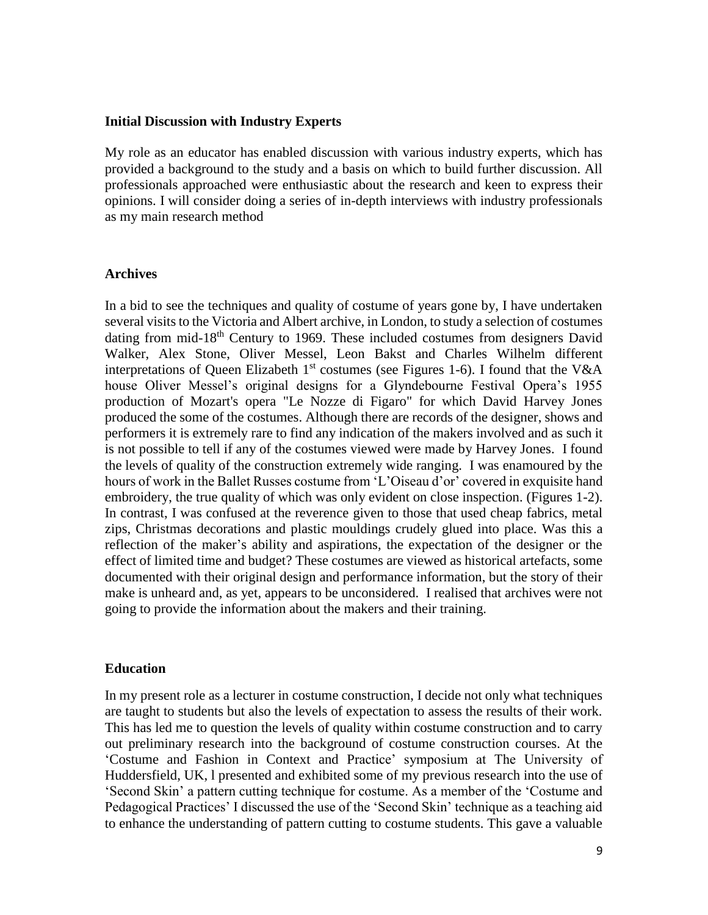#### **Initial Discussion with Industry Experts**

My role as an educator has enabled discussion with various industry experts, which has provided a background to the study and a basis on which to build further discussion. All professionals approached were enthusiastic about the research and keen to express their opinions. I will consider doing a series of in-depth interviews with industry professionals as my main research method

#### **Archives**

In a bid to see the techniques and quality of costume of years gone by, I have undertaken several visits to the Victoria and Albert archive, in London, to study a selection of costumes dating from mid-18th Century to 1969. These included costumes from designers David Walker, Alex Stone, Oliver Messel, Leon Bakst and Charles Wilhelm different interpretations of Queen Elizabeth  $1<sup>st</sup>$  costumes (see Figures 1-6). I found that the V&A house Oliver Messel's original designs for a Glyndebourne Festival Opera's 1955 production of Mozart's opera "Le Nozze di Figaro" for which David Harvey Jones produced the some of the costumes. Although there are records of the designer, shows and performers it is extremely rare to find any indication of the makers involved and as such it is not possible to tell if any of the costumes viewed were made by Harvey Jones. I found the levels of quality of the construction extremely wide ranging. I was enamoured by the hours of work in the Ballet Russes costume from 'L'Oiseau d'or' covered in exquisite hand embroidery, the true quality of which was only evident on close inspection. (Figures 1-2). In contrast, I was confused at the reverence given to those that used cheap fabrics, metal zips, Christmas decorations and plastic mouldings crudely glued into place. Was this a reflection of the maker's ability and aspirations, the expectation of the designer or the effect of limited time and budget? These costumes are viewed as historical artefacts, some documented with their original design and performance information, but the story of their make is unheard and, as yet, appears to be unconsidered. I realised that archives were not going to provide the information about the makers and their training.

## **Education**

In my present role as a lecturer in costume construction, I decide not only what techniques are taught to students but also the levels of expectation to assess the results of their work. This has led me to question the levels of quality within costume construction and to carry out preliminary research into the background of costume construction courses. At the 'Costume and Fashion in Context and Practice' symposium at The University of Huddersfield, UK, l presented and exhibited some of my previous research into the use of 'Second Skin' a pattern cutting technique for costume. As a member of the 'Costume and Pedagogical Practices' I discussed the use of the 'Second Skin' technique as a teaching aid to enhance the understanding of pattern cutting to costume students. This gave a valuable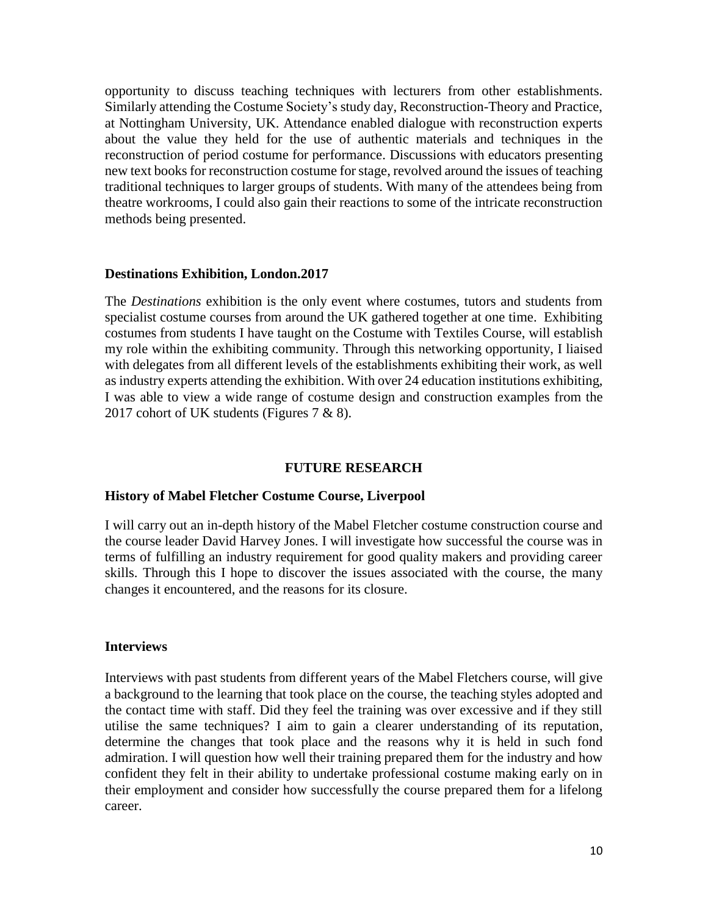opportunity to discuss teaching techniques with lecturers from other establishments. Similarly attending the Costume Society's study day, Reconstruction-Theory and Practice, at Nottingham University, UK. Attendance enabled dialogue with reconstruction experts about the value they held for the use of authentic materials and techniques in the reconstruction of period costume for performance. Discussions with educators presenting new text books for reconstruction costume for stage, revolved around the issues of teaching traditional techniques to larger groups of students. With many of the attendees being from theatre workrooms, I could also gain their reactions to some of the intricate reconstruction methods being presented.

## **Destinations Exhibition, London.2017**

The *Destinations* exhibition is the only event where costumes, tutors and students from specialist costume courses from around the UK gathered together at one time. Exhibiting costumes from students I have taught on the Costume with Textiles Course, will establish my role within the exhibiting community. Through this networking opportunity, I liaised with delegates from all different levels of the establishments exhibiting their work, as well as industry experts attending the exhibition. With over 24 education institutions exhibiting, I was able to view a wide range of costume design and construction examples from the 2017 cohort of UK students (Figures 7 & 8).

## **FUTURE RESEARCH**

#### **History of Mabel Fletcher Costume Course, Liverpool**

I will carry out an in-depth history of the Mabel Fletcher costume construction course and the course leader David Harvey Jones. I will investigate how successful the course was in terms of fulfilling an industry requirement for good quality makers and providing career skills. Through this I hope to discover the issues associated with the course, the many changes it encountered, and the reasons for its closure.

#### **Interviews**

Interviews with past students from different years of the Mabel Fletchers course, will give a background to the learning that took place on the course, the teaching styles adopted and the contact time with staff. Did they feel the training was over excessive and if they still utilise the same techniques? I aim to gain a clearer understanding of its reputation, determine the changes that took place and the reasons why it is held in such fond admiration. I will question how well their training prepared them for the industry and how confident they felt in their ability to undertake professional costume making early on in their employment and consider how successfully the course prepared them for a lifelong career.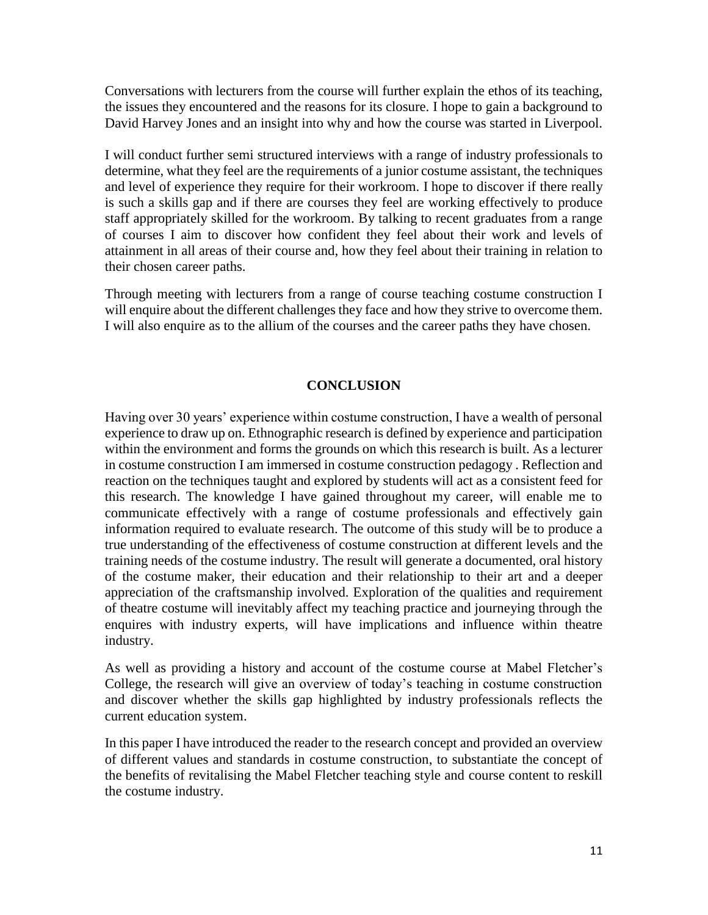Conversations with lecturers from the course will further explain the ethos of its teaching, the issues they encountered and the reasons for its closure. I hope to gain a background to David Harvey Jones and an insight into why and how the course was started in Liverpool.

I will conduct further semi structured interviews with a range of industry professionals to determine, what they feel are the requirements of a junior costume assistant, the techniques and level of experience they require for their workroom. I hope to discover if there really is such a skills gap and if there are courses they feel are working effectively to produce staff appropriately skilled for the workroom. By talking to recent graduates from a range of courses I aim to discover how confident they feel about their work and levels of attainment in all areas of their course and, how they feel about their training in relation to their chosen career paths.

Through meeting with lecturers from a range of course teaching costume construction I will enquire about the different challenges they face and how they strive to overcome them. I will also enquire as to the allium of the courses and the career paths they have chosen.

# **CONCLUSION**

Having over 30 years' experience within costume construction, I have a wealth of personal experience to draw up on. Ethnographic research is defined by experience and participation within the environment and forms the grounds on which this research is built. As a lecturer in costume construction I am immersed in costume construction pedagogy . Reflection and reaction on the techniques taught and explored by students will act as a consistent feed for this research. The knowledge I have gained throughout my career, will enable me to communicate effectively with a range of costume professionals and effectively gain information required to evaluate research. The outcome of this study will be to produce a true understanding of the effectiveness of costume construction at different levels and the training needs of the costume industry. The result will generate a documented, oral history of the costume maker, their education and their relationship to their art and a deeper appreciation of the craftsmanship involved. Exploration of the qualities and requirement of theatre costume will inevitably affect my teaching practice and journeying through the enquires with industry experts, will have implications and influence within theatre industry.

As well as providing a history and account of the costume course at Mabel Fletcher's College, the research will give an overview of today's teaching in costume construction and discover whether the skills gap highlighted by industry professionals reflects the current education system.

In this paper I have introduced the reader to the research concept and provided an overview of different values and standards in costume construction, to substantiate the concept of the benefits of revitalising the Mabel Fletcher teaching style and course content to reskill the costume industry.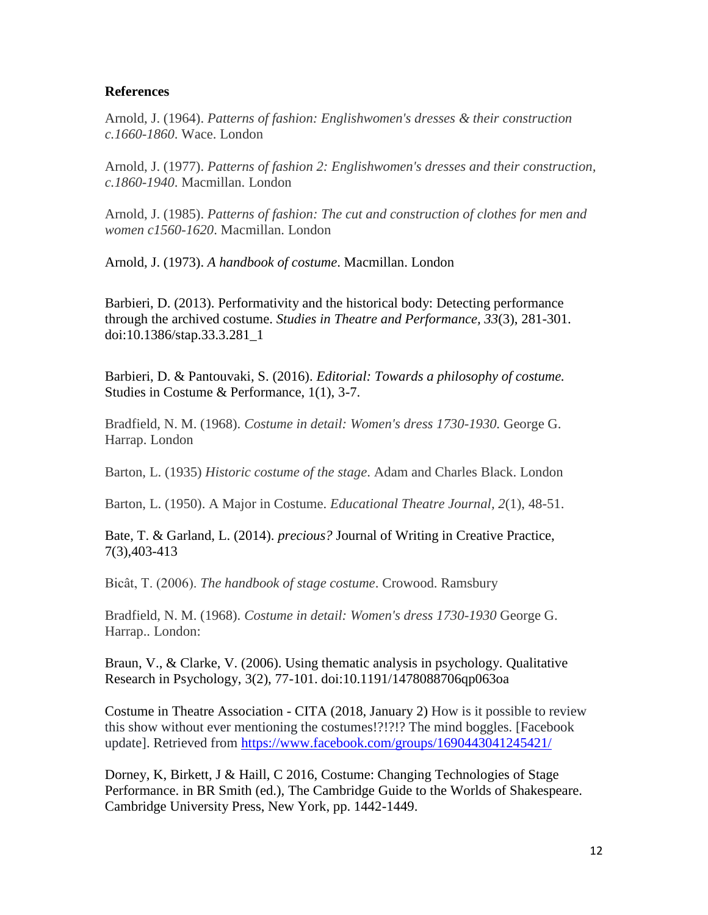# **References**

Arnold, J. (1964). *Patterns of fashion: Englishwomen's dresses & their construction c.1660-1860*. Wace. London

Arnold, J. (1977). *Patterns of fashion 2: Englishwomen's dresses and their construction, c.1860-1940*. Macmillan. London

Arnold, J. (1985). *Patterns of fashion: The cut and construction of clothes for men and women c1560-1620*. Macmillan. London

Arnold, J. (1973). *A handbook of costume*. Macmillan. London

Barbieri, D. (2013). Performativity and the historical body: Detecting performance through the archived costume. *Studies in Theatre and Performance, 33*(3), 281-301. doi:10.1386/stap.33.3.281\_1

Barbieri, D. & Pantouvaki, S. (2016). *Editorial: Towards a philosophy of costume.* Studies in Costume & Performance, 1(1), 3-7.

Bradfield, N. M. (1968). *Costume in detail: Women's dress 1730-1930.* George G. Harrap. London

Barton, L. (1935) *Historic costume of the stage*. Adam and Charles Black. London

Barton, L. (1950). A Major in Costume. *Educational Theatre Journal, 2*(1), 48-51.

Bate, T. & Garland, L. (2014). *precious?* Journal of Writing in Creative Practice, 7(3),403-413

Bicât, T. (2006). *The handbook of stage costume*. Crowood. Ramsbury

Bradfield, N. M. (1968). *Costume in detail: Women's dress 1730-1930* George G. Harrap.. London:

Braun, V., & Clarke, V. (2006). Using thematic analysis in psychology. Qualitative Research in Psychology, 3(2), 77-101. doi:10.1191/1478088706qp063oa

Costume in Theatre Association - CITA (2018, January 2) How is it possible to review this show without ever mentioning the costumes!?!?!? The mind boggles. [Facebook update]. Retrieved from<https://www.facebook.com/groups/1690443041245421/>

Dorney, K, Birkett, J & Haill, C 2016, Costume: Changing Technologies of Stage Performance. in BR Smith (ed.), The Cambridge Guide to the Worlds of Shakespeare. Cambridge University Press, New York, pp. 1442-1449.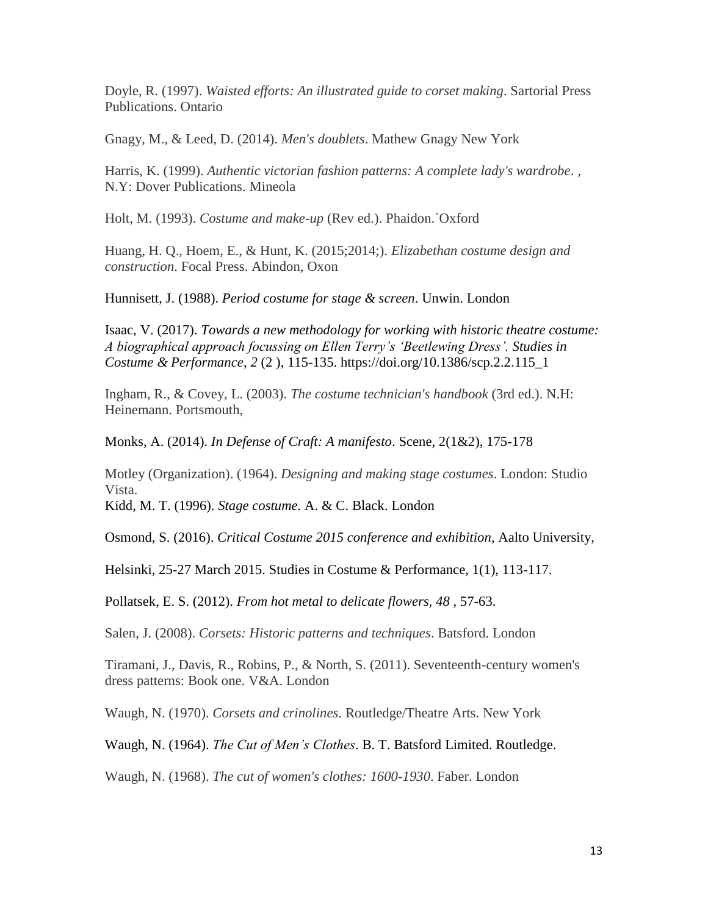Doyle, R. (1997). *Waisted efforts: An illustrated guide to corset making*. Sartorial Press Publications. Ontario

Gnagy, M., & Leed, D. (2014). *Men's doublets*. Mathew Gnagy New York

Harris, K. (1999). *Authentic victorian fashion patterns: A complete lady's wardrobe*. , N.Y: Dover Publications. Mineola

Holt, M. (1993). *Costume and make-up* (Rev ed.). Phaidon.`Oxford

Huang, H. Q., Hoem, E., & Hunt, K. (2015;2014;). *Elizabethan costume design and construction*. Focal Press. Abindon, Oxon

Hunnisett, J. (1988). *Period costume for stage & screen*. Unwin. London

Isaac, V. (2017). *Towards a new methodology for working with historic theatre costume: A biographical approach focussing on Ellen Terry's 'Beetlewing Dress'. Studies in Costume & Performance*, *2* (2 ), 115-135. [https://doi.org/10.1386/scp.2.2.115\\_1](https://staffmail.hud.ac.uk/owa/redir.aspx?C=b-y3r36UINRGqo4Lv_TpU_sDLeew44ULIGsYoNcyBQSOfdAfMX3VCA..&URL=https%3a%2f%2fdoi.org%2f10.1386%2fscp.2.2.115_1)

Ingham, R., & Covey, L. (2003). *The costume technician's handbook* (3rd ed.). N.H: Heinemann. Portsmouth,

Monks, A. (2014). *In Defense of Craft: A manifesto*. Scene, 2(1&2), 175-178

Motley (Organization). (1964). *Designing and making stage costumes*. London: Studio Vista.

Kidd, M. T. (1996). *Stage costume.* A. & C. Black. London

Osmond, S. (2016). *Critical Costume 2015 conference and exhibition*, Aalto University,

Helsinki, 25-27 March 2015. Studies in Costume & Performance, 1(1), 113-117.

Pollatsek, E. S. (2012). *From hot metal to delicate flowers, 48* , 57-63.

Salen, J. (2008). *Corsets: Historic patterns and techniques*. Batsford. London

Tiramani, J., Davis, R., Robins, P., & North, S. (2011). Seventeenth-century women's dress patterns: Book one. V&A. London

Waugh, N. (1970). *Corsets and crinolines*. Routledge/Theatre Arts. New York

Waugh, N. (1964). *The Cut of Men's Clothes*. B. T. Batsford Limited. Routledge.

Waugh, N. (1968). *The cut of women's clothes: 1600-1930*. Faber. London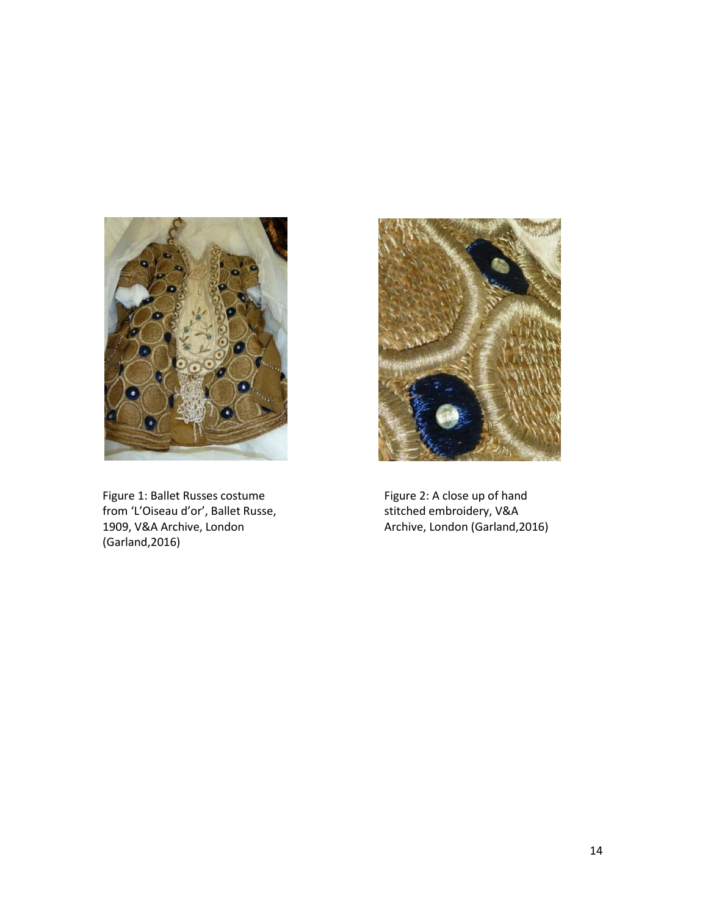

Figure 1: Ballet Russes costume from 'L'Oiseau d'or', Ballet Russe, 1909, V&A Archive, London (Garland,2016)



Figure 2: A close up of hand stitched embroidery, V&A Archive, London (Garland,2016)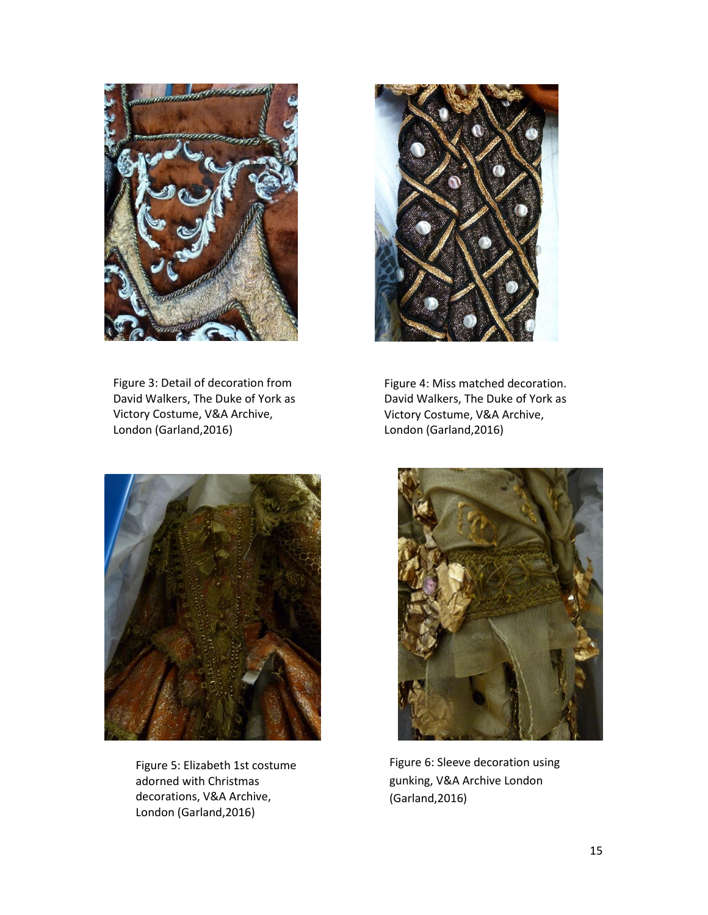

Figure 3: Detail of decoration from David Walkers, The Duke of York as Victory Costume, V&A Archive, London (Garland,2016)



Figure 4: Miss matched decoration. David Walkers, The Duke of York as Victory Costume, V&A Archive, London (Garland,2016)



Figure 5: Elizabeth 1st costume adorned with Christmas decorations, V&A Archive, London (Garland,2016)



Figure 6: Sleeve decoration using gunking, V&A Archive London (Garland,2016)